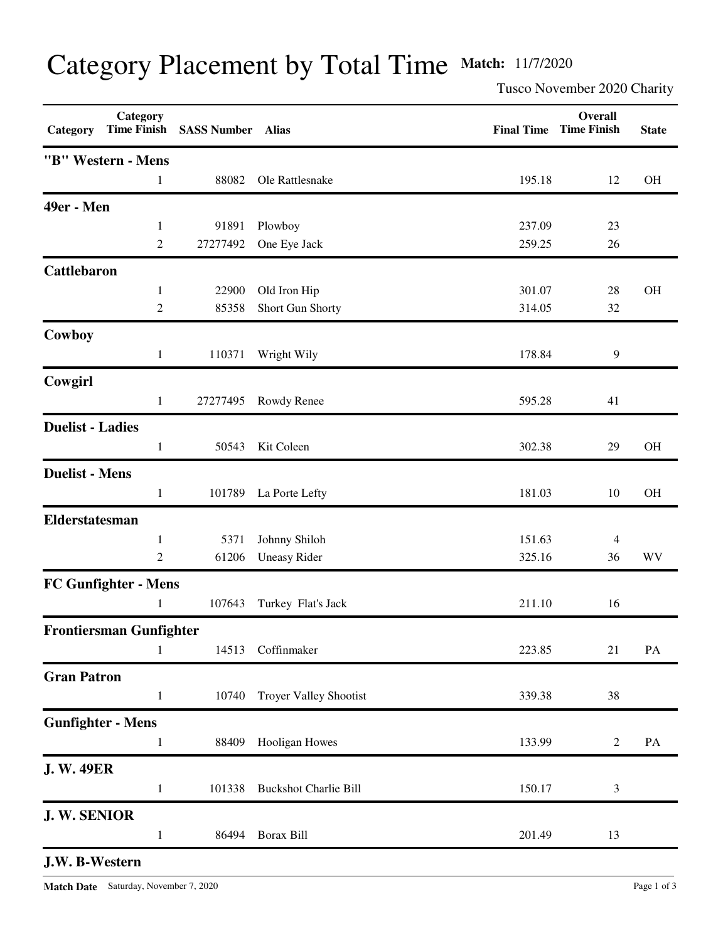## Category Placement by Total Time **Match:** 11/7/2020

Tusco November 2020 Charity

| Category                 | Category                       | Time Finish SASS Number Alias |                               |        | Overall<br><b>Final Time Time Finish</b> | <b>State</b> |
|--------------------------|--------------------------------|-------------------------------|-------------------------------|--------|------------------------------------------|--------------|
|                          | "B" Western - Mens             |                               |                               |        |                                          |              |
|                          | 1                              | 88082                         | Ole Rattlesnake               | 195.18 | 12                                       | $\rm OH$     |
| 49er - Men               |                                |                               |                               |        |                                          |              |
|                          | $\mathbf{1}$                   | 91891                         | Plowboy                       | 237.09 | 23                                       |              |
|                          | $\mathfrak{2}$                 | 27277492                      | One Eye Jack                  | 259.25 | 26                                       |              |
| <b>Cattlebaron</b>       |                                |                               |                               |        |                                          |              |
|                          | $\mathbf{1}$                   | 22900                         | Old Iron Hip                  | 301.07 | 28                                       | <b>OH</b>    |
|                          | $\overline{c}$                 | 85358                         | Short Gun Shorty              | 314.05 | 32                                       |              |
| Cowboy                   |                                |                               |                               |        |                                          |              |
|                          | $\mathbf{1}$                   | 110371                        | Wright Wily                   | 178.84 | 9                                        |              |
| Cowgirl                  |                                |                               |                               |        |                                          |              |
|                          | $\mathbf{1}$                   | 27277495                      | Rowdy Renee                   | 595.28 | 41                                       |              |
| <b>Duelist - Ladies</b>  |                                |                               |                               |        |                                          |              |
|                          | $\mathbf{1}$                   | 50543                         | Kit Coleen                    | 302.38 | 29                                       | OH           |
| <b>Duelist - Mens</b>    |                                |                               |                               |        |                                          |              |
|                          | $\mathbf{1}$                   |                               | 101789 La Porte Lefty         | 181.03 | 10                                       | OH           |
| Elderstatesman           |                                |                               |                               |        |                                          |              |
|                          | 1                              | 5371                          | Johnny Shiloh                 | 151.63 | 4                                        |              |
|                          | $\overline{c}$                 | 61206                         | <b>Uneasy Rider</b>           | 325.16 | 36                                       | WV           |
|                          | FC Gunfighter - Mens           |                               |                               |        |                                          |              |
|                          | 1                              | 107643                        | Turkey Flat's Jack            | 211.10 | 16                                       |              |
|                          | <b>Frontiersman Gunfighter</b> |                               |                               |        |                                          |              |
|                          | 1                              | 14513                         | Coffinmaker                   | 223.85 | 21                                       | PA           |
| <b>Gran Patron</b>       |                                |                               |                               |        |                                          |              |
|                          | $\mathbf{1}$                   | 10740                         | <b>Troyer Valley Shootist</b> | 339.38 | 38                                       |              |
| <b>Gunfighter - Mens</b> |                                |                               |                               |        |                                          |              |
|                          | 1                              | 88409                         | Hooligan Howes                | 133.99 | $\overline{2}$                           | PA           |
| <b>J. W. 49ER</b>        |                                |                               |                               |        |                                          |              |
|                          | $\mathbf{1}$                   | 101338                        | <b>Buckshot Charlie Bill</b>  | 150.17 | 3                                        |              |
| J.W. SENIOR              |                                |                               |                               |        |                                          |              |
|                          | $\mathbf{1}$                   | 86494                         | Borax Bill                    | 201.49 | 13                                       |              |
| J.W. B-Western           |                                |                               |                               |        |                                          |              |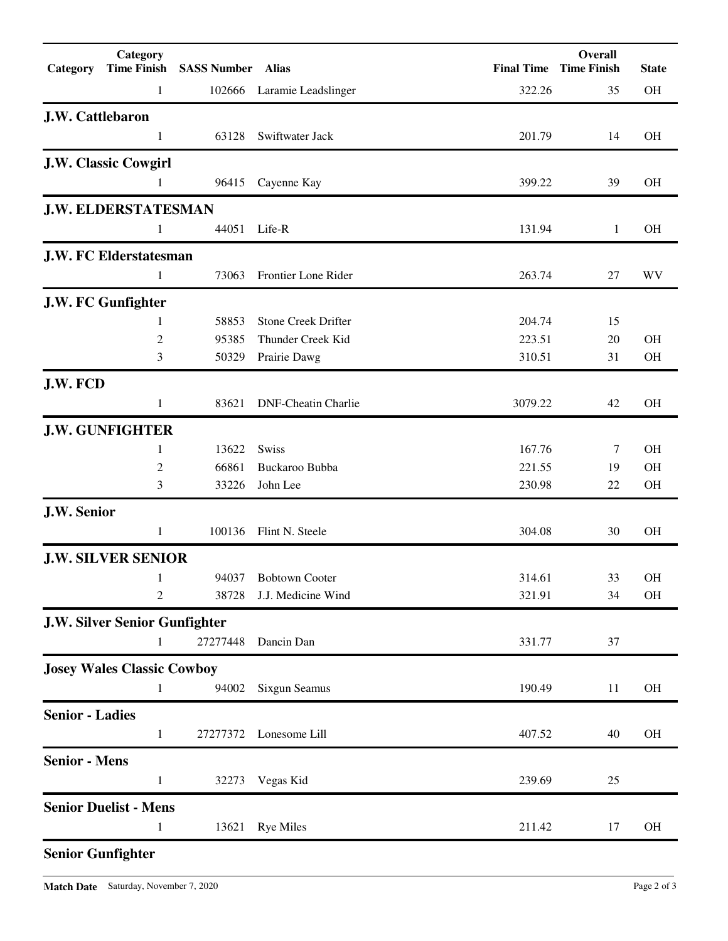| Category                 | Category<br><b>Time Finish</b>       | <b>SASS Number Alias</b> |                            |         | Overall<br><b>Final Time Time Finish</b> | <b>State</b> |
|--------------------------|--------------------------------------|--------------------------|----------------------------|---------|------------------------------------------|--------------|
|                          | 1                                    |                          | 102666 Laramie Leadslinger | 322.26  | 35                                       | <b>OH</b>    |
| J.W. Cattlebaron         |                                      |                          |                            |         |                                          |              |
|                          | 1                                    | 63128                    | Swiftwater Jack            | 201.79  | 14                                       | <b>OH</b>    |
|                          | <b>J.W. Classic Cowgirl</b>          |                          |                            |         |                                          |              |
|                          | 1                                    | 96415                    | Cayenne Kay                | 399.22  | 39                                       | <b>OH</b>    |
|                          | <b>J.W. ELDERSTATESMAN</b>           |                          |                            |         |                                          |              |
|                          | 1                                    | 44051                    | Life-R                     | 131.94  | 1                                        | <b>OH</b>    |
|                          | <b>J.W. FC Elderstatesman</b>        |                          |                            |         |                                          |              |
|                          | 1                                    | 73063                    | Frontier Lone Rider        | 263.74  | 27                                       | WV           |
|                          | J.W. FC Gunfighter                   |                          |                            |         |                                          |              |
|                          | 1                                    | 58853                    | <b>Stone Creek Drifter</b> | 204.74  | 15                                       |              |
|                          | $\boldsymbol{2}$                     | 95385                    | Thunder Creek Kid          | 223.51  | 20                                       | <b>OH</b>    |
|                          | 3                                    | 50329                    | Prairie Dawg               | 310.51  | 31                                       | OH           |
| J.W. FCD                 |                                      |                          |                            |         |                                          |              |
|                          | 1                                    | 83621                    | <b>DNF-Cheatin Charlie</b> | 3079.22 | 42                                       | OH           |
|                          | <b>J.W. GUNFIGHTER</b>               |                          |                            |         |                                          |              |
|                          | 1                                    | 13622                    | <b>Swiss</b>               | 167.76  | 7                                        | <b>OH</b>    |
|                          | $\overline{c}$                       | 66861                    | Buckaroo Bubba             | 221.55  | 19                                       | <b>OH</b>    |
|                          | 3                                    | 33226                    | John Lee                   | 230.98  | 22                                       | OH           |
| J.W. Senior              |                                      |                          |                            |         |                                          |              |
|                          | 1                                    | 100136                   | Flint N. Steele            | 304.08  | 30                                       | <b>OH</b>    |
|                          | <b>J.W. SILVER SENIOR</b>            |                          |                            |         |                                          |              |
|                          | 1                                    | 94037                    | <b>Bobtown Cooter</b>      | 314.61  | 33                                       | <b>OH</b>    |
|                          | $\overline{c}$                       | 38728                    | J.J. Medicine Wind         | 321.91  | 34                                       | OH           |
|                          | <b>J.W. Silver Senior Gunfighter</b> |                          |                            |         |                                          |              |
|                          | 1                                    | 27277448                 | Dancin Dan                 | 331.77  | 37                                       |              |
|                          | <b>Josey Wales Classic Cowboy</b>    |                          |                            |         |                                          |              |
|                          | 1                                    | 94002                    | <b>Sixgun Seamus</b>       | 190.49  | 11                                       | OH           |
| <b>Senior - Ladies</b>   |                                      |                          |                            |         |                                          |              |
|                          | 1                                    | 27277372                 | Lonesome Lill              | 407.52  | 40                                       | OH           |
| <b>Senior - Mens</b>     |                                      |                          |                            |         |                                          |              |
|                          | $\mathbf{1}$                         | 32273                    | Vegas Kid                  | 239.69  | 25                                       |              |
|                          | <b>Senior Duelist - Mens</b>         |                          |                            |         |                                          |              |
|                          | 1                                    | 13621                    | <b>Rye Miles</b>           | 211.42  | 17                                       | <b>OH</b>    |
| <b>Senior Gunfighter</b> |                                      |                          |                            |         |                                          |              |